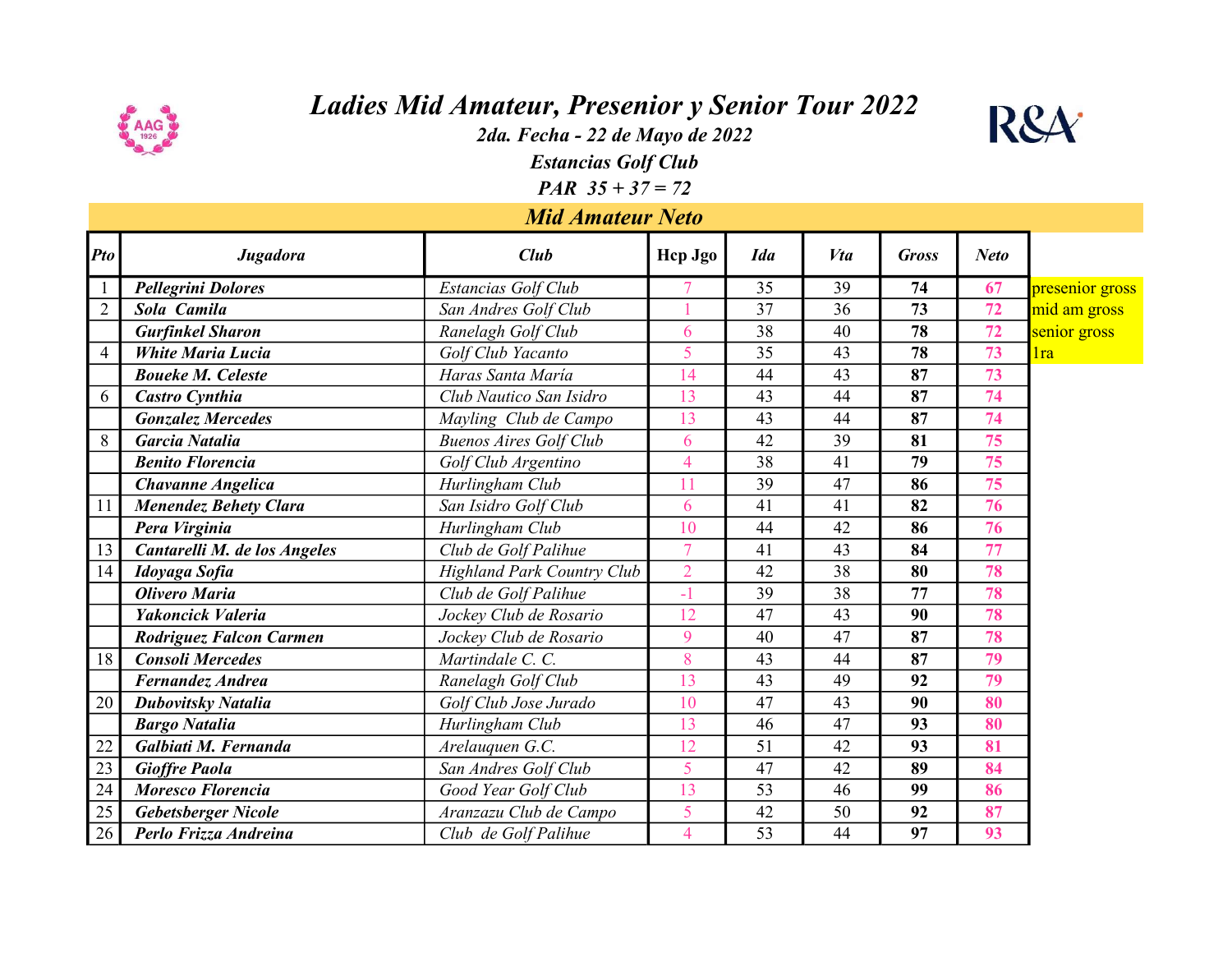

## Ladies Mid Amateur, Presenior y Senior Tour 2022

2da. Fecha - 22 de Mayo de 2022



Estancias Golf Club

**PAR**  $35 + 37 = 72$ 

## Mid Amateur Neto

| <b>Pto</b>     | Jugadora                       | Club                              | Hep Jgo        | <b>Ida</b> | Vta | <b>Gross</b> | <b>Neto</b> |                 |
|----------------|--------------------------------|-----------------------------------|----------------|------------|-----|--------------|-------------|-----------------|
|                | <b>Pellegrini Dolores</b>      | Estancias Golf Club               |                | 35         | 39  | 74           | 67          | presenior gross |
| $\overline{2}$ | Sola Camila                    | San Andres Golf Club              |                | 37         | 36  | 73           | 72          | mid am gross    |
|                | <b>Gurfinkel Sharon</b>        | Ranelagh Golf Club                | 6              | 38         | 40  | 78           | 72          | senior gross    |
| $\overline{4}$ | <b>White Maria Lucia</b>       | Golf Club Yacanto                 | 5              | 35         | 43  | 78           | 73          | 1ra             |
|                | <b>Boueke M. Celeste</b>       | Haras Santa María                 | 14             | 44         | 43  | 87           | 73          |                 |
| 6              | <b>Castro Cynthia</b>          | Club Nautico San Isidro           | 13             | 43         | 44  | 87           | 74          |                 |
|                | <b>Gonzalez Mercedes</b>       | Mayling Club de Campo             | 13             | 43         | 44  | 87           | 74          |                 |
| 8              | <b>Garcia Natalia</b>          | <b>Buenos Aires Golf Club</b>     | 6              | 42         | 39  | 81           | 75          |                 |
|                | <b>Benito Florencia</b>        | Golf Club Argentino               | $\overline{4}$ | 38         | 41  | 79           | 75          |                 |
|                | <b>Chavanne Angelica</b>       | Hurlingham Club                   | 11             | 39         | 47  | 86           | 75          |                 |
| 11             | <b>Menendez Behety Clara</b>   | San Isidro Golf Club              | 6              | 41         | 41  | 82           | 76          |                 |
|                | Pera Virginia                  | Hurlingham Club                   | 10             | 44         | 42  | 86           | 76          |                 |
| 13             | Cantarelli M. de los Angeles   | Club de Golf Palihue              | $\overline{7}$ | 41         | 43  | 84           | 77          |                 |
| 14             | Idoyaga Sofia                  | <b>Highland Park Country Club</b> | $\overline{2}$ | 42         | 38  | 80           | 78          |                 |
|                | <b>Olivero Maria</b>           | Club de Golf Palihue              | $-1$           | 39         | 38  | 77           | 78          |                 |
|                | Yakoncick Valeria              | Jockey Club de Rosario            | 12             | 47         | 43  | 90           | 78          |                 |
|                | <b>Rodriguez Falcon Carmen</b> | Jockey Club de Rosario            | 9              | 40         | 47  | 87           | 78          |                 |
| 18             | <b>Consoli Mercedes</b>        | Martindale C. C.                  | 8              | 43         | 44  | 87           | 79          |                 |
|                | <b>Fernandez Andrea</b>        | Ranelagh Golf Club                | 13             | 43         | 49  | 92           | 79          |                 |
| 20             | <b>Dubovitsky Natalia</b>      | Golf Club Jose Jurado             | 10             | 47         | 43  | 90           | 80          |                 |
|                | <b>Bargo Natalia</b>           | Hurlingham Club                   | 13             | 46         | 47  | 93           | 80          |                 |
| 22             | Galbiati M. Fernanda           | Arelauquen G.C.                   | 12             | 51         | 42  | 93           | 81          |                 |
| 23             | <b>Gioffre Paola</b>           | San Andres Golf Club              | 5              | 47         | 42  | 89           | 84          |                 |
| 24             | <b>Moresco Florencia</b>       | Good Year Golf Club               | 13             | 53         | 46  | 99           | 86          |                 |
| 25             | Gebetsberger Nicole            | Aranzazu Club de Campo            | 5              | 42         | 50  | 92           | 87          |                 |
| 26             | Perlo Frizza Andreina          | Club de Golf Palihue              | 4              | 53         | 44  | 97           | 93          |                 |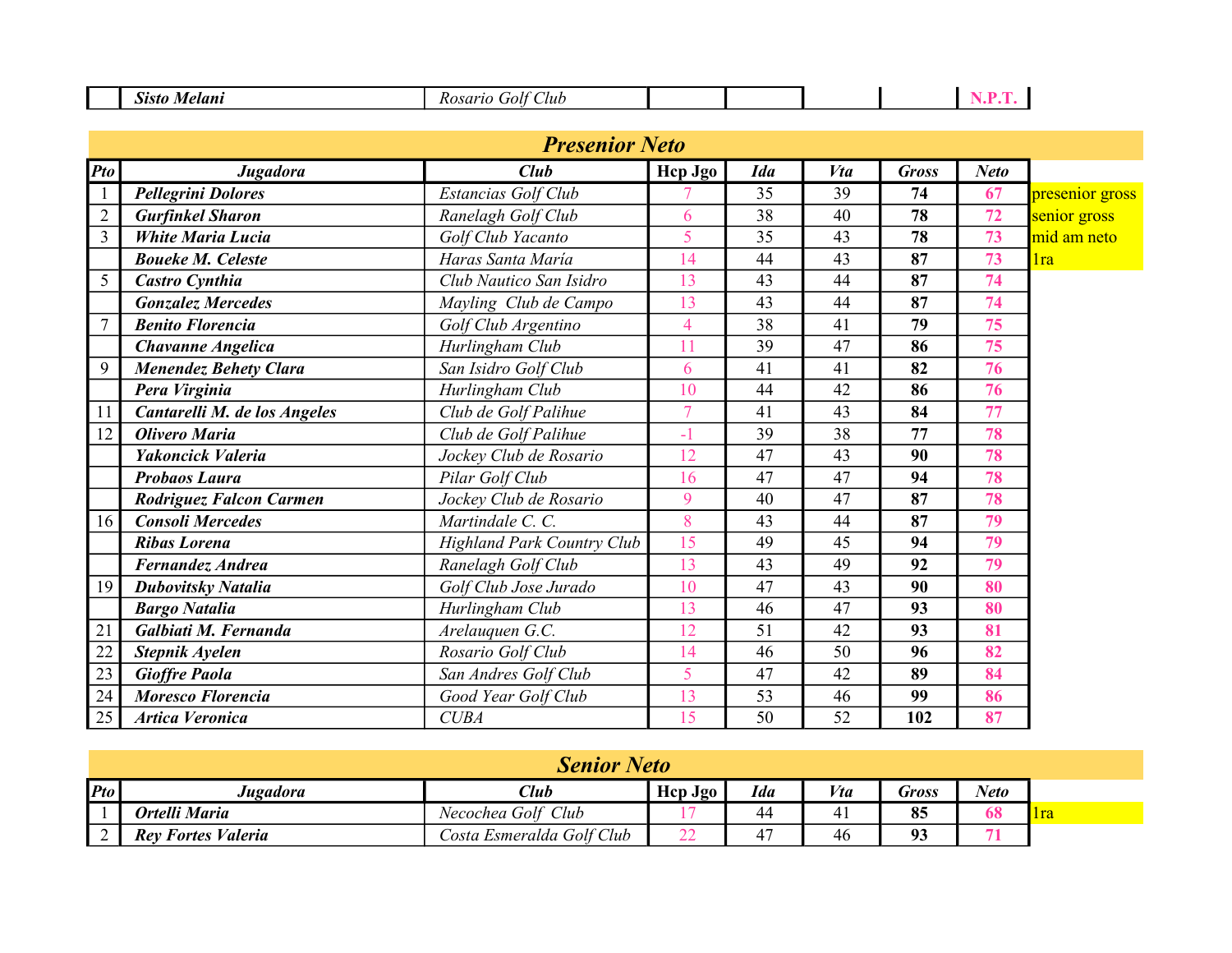| $\sim\,$<br>101<br>. |             |  |  |
|----------------------|-------------|--|--|
|                      | Aur<br>,,,, |  |  |

|                | <b>Presenior Neto</b>        |                                   |                |            |     |              |             |                 |  |
|----------------|------------------------------|-----------------------------------|----------------|------------|-----|--------------|-------------|-----------------|--|
| Pto            | <b>Jugadora</b>              | Club                              | Hep Jgo        | <b>Ida</b> | Vta | <b>Gross</b> | <b>Neto</b> |                 |  |
| $\mathbf{1}$   | <b>Pellegrini Dolores</b>    | Estancias Golf Club               |                | 35         | 39  | 74           | 67          | presenior gross |  |
| $\mathfrak{2}$ | <b>Gurfinkel Sharon</b>      | Ranelagh Golf Club                | 6              | 38         | 40  | 78           | 72          | senior gross    |  |
| $\overline{3}$ | <b>White Maria Lucia</b>     | Golf Club Yacanto                 | 5              | 35         | 43  | 78           | 73          | mid am neto     |  |
|                | <b>Boueke M. Celeste</b>     | Haras Santa María                 | 14             | 44         | 43  | 87           | 73          | 1ra             |  |
| 5              | Castro Cynthia               | Club Nautico San Isidro           | 13             | 43         | 44  | 87           | 74          |                 |  |
|                | <b>Gonzalez Mercedes</b>     | Mayling Club de Campo             | 13             | 43         | 44  | 87           | 74          |                 |  |
| $\overline{7}$ | <b>Benito Florencia</b>      | Golf Club Argentino               | $\overline{4}$ | 38         | 41  | 79           | 75          |                 |  |
|                | <b>Chavanne Angelica</b>     | Hurlingham Club                   |                | 39         | 47  | 86           | 75          |                 |  |
| 9              | <b>Menendez Behety Clara</b> | San Isidro Golf Club              | 6              | 41         | 41  | 82           | 76          |                 |  |
|                | Pera Virginia                | Hurlingham Club                   | 10             | 44         | 42  | 86           | 76          |                 |  |
| 11             | Cantarelli M. de los Angeles | Club de Golf Palihue              | $\overline{7}$ | 41         | 43  | 84           | 77          |                 |  |
| 12             | Olivero Maria                | Club de Golf Palihue              | $-1$           | 39         | 38  | 77           | 78          |                 |  |
|                | Yakoncick Valeria            | Jockey Club de Rosario            | 12             | 47         | 43  | 90           | 78          |                 |  |
|                | <b>Probaos Laura</b>         | Pilar Golf Club                   | 16             | 47         | 47  | 94           | 78          |                 |  |
|                | Rodriguez Falcon Carmen      | Jockey Club de Rosario            | 9              | 40         | 47  | 87           | 78          |                 |  |
| 16             | <b>Consoli Mercedes</b>      | Martindale C. C.                  | 8              | 43         | 44  | 87           | 79          |                 |  |
|                | <b>Ribas Lorena</b>          | <b>Highland Park Country Club</b> | 15             | 49         | 45  | 94           | 79          |                 |  |
|                | Fernandez Andrea             | Ranelagh Golf Club                | 13             | 43         | 49  | 92           | 79          |                 |  |
| 19             | <b>Dubovitsky Natalia</b>    | Golf Club Jose Jurado             | 10             | 47         | 43  | 90           | 80          |                 |  |
|                | <b>Bargo Natalia</b>         | Hurlingham Club                   | 13             | 46         | 47  | 93           | 80          |                 |  |
| 21             | Galbiati M. Fernanda         | Arelauquen G.C.                   | 12             | 51         | 42  | 93           | 81          |                 |  |
| 22             | Stepnik Ayelen               | Rosario Golf Club                 | 14             | 46         | 50  | 96           | 82          |                 |  |
| 23             | <b>Gioffre Paola</b>         | San Andres Golf Club              | 5              | 47         | 42  | 89           | 84          |                 |  |
| 24             | Moresco Florencia            | Good Year Golf Club               | 13             | 53         | 46  | 99           | 86          |                 |  |
| 25             | <b>Artica Veronica</b>       | <b>CUBA</b>                       | 15             | 50         | 52  | 102          | 87          |                 |  |

| <b>Senior Neto</b> |                           |                           |              |                      |     |                        |             |              |
|--------------------|---------------------------|---------------------------|--------------|----------------------|-----|------------------------|-------------|--------------|
| $P$ to             | Jugadora                  | $\mathcal{C}$ <i>lub</i>  | Hep Jgo      | <b>Ida</b>           | Vta | Gross                  | <b>Neto</b> |              |
|                    | Ortelli Maria             | Necochea Golf Club        |              | 44                   | 41  | 85                     | 68          | <u>  Ira</u> |
|                    | <b>Rey Fortes Valeria</b> | Costa Esmeralda Golf Club | $\sim$<br>__ | $\overline{a}$<br>4, | 46  | 0 <sup>2</sup><br>JJ - |             |              |